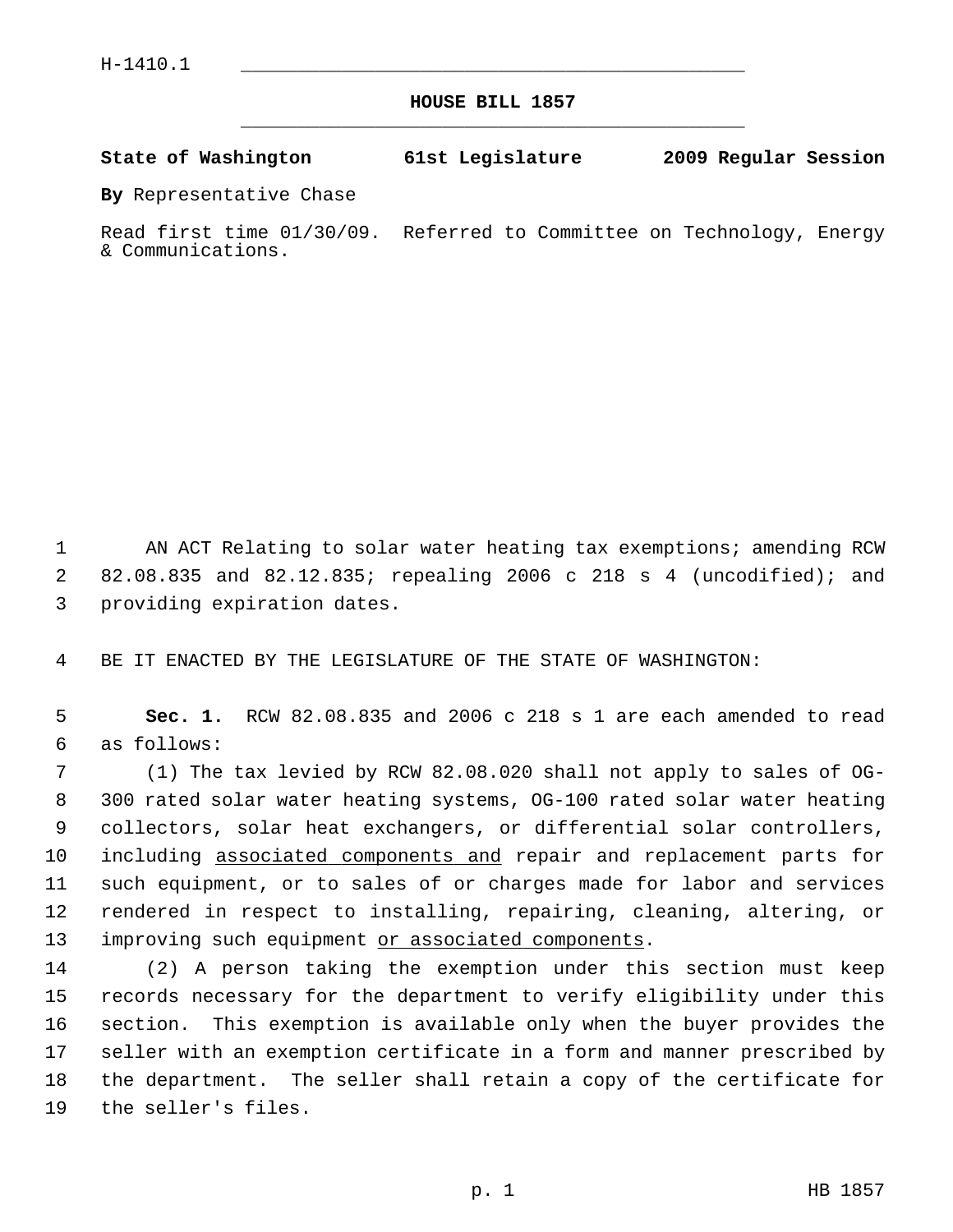**HOUSE BILL 1857** \_\_\_\_\_\_\_\_\_\_\_\_\_\_\_\_\_\_\_\_\_\_\_\_\_\_\_\_\_\_\_\_\_\_\_\_\_\_\_\_\_\_\_\_\_

**State of Washington 61st Legislature 2009 Regular Session**

**By** Representative Chase

Read first time 01/30/09. Referred to Committee on Technology, Energy & Communications.

 1 AN ACT Relating to solar water heating tax exemptions; amending RCW 2 82.08.835 and 82.12.835; repealing 2006 c 218 s 4 (uncodified); and 3 providing expiration dates.

4 BE IT ENACTED BY THE LEGISLATURE OF THE STATE OF WASHINGTON:

 5 **Sec. 1.** RCW 82.08.835 and 2006 c 218 s 1 are each amended to read 6 as follows:

 7 (1) The tax levied by RCW 82.08.020 shall not apply to sales of OG- 8 300 rated solar water heating systems, OG-100 rated solar water heating 9 collectors, solar heat exchangers, or differential solar controllers, 10 including associated components and repair and replacement parts for 11 such equipment, or to sales of or charges made for labor and services 12 rendered in respect to installing, repairing, cleaning, altering, or 13 improving such equipment or associated components.

14 (2) A person taking the exemption under this section must keep 15 records necessary for the department to verify eligibility under this 16 section. This exemption is available only when the buyer provides the 17 seller with an exemption certificate in a form and manner prescribed by 18 the department. The seller shall retain a copy of the certificate for 19 the seller's files.